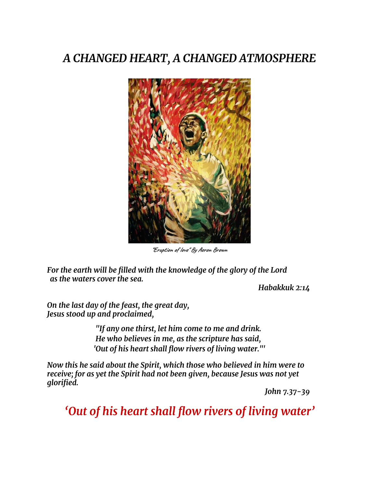### *A CHANGED HEART, A CHANGED ATMOSPHERE*



**"Eruption of love" By Aeron Brown**

*For the earth will be filled with the knowledge of the glory of the Lord as the waters cover the sea.*

*Habakkuk 2:14*

*On the last day of the feast, the great day, Jesus stood up and proclaimed,*

> *"If any one thirst, let him come to me and drink. He who believes in me, as the scripture has said, 'Out of his heart shall flow rivers of living water."'*

*Now this he said about the Spirit, which those who believed in him were to receive; for as yet the Spirit had not been given, because Jesus was not yet glorified.*

*John 7.37-39*

*'Out of his heart shall flow rivers of living water'*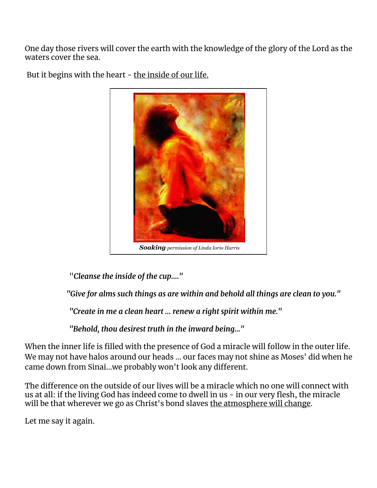One day those rivers will cover the earth with the knowledge of the glory of the Lord as the waters cover the sea.



But it begins with the heart - the inside of our life.

"*Cleanse the inside of the cup...."*

*"Give for alms such things as are within and behold all things are clean to you."*

*"Create in me a clean heart ... renew a right spirit within me."*

*"Behold, thou desirest truth in the inward being..."*

When the inner life is filled with the presence of God a miracle will follow in the outer life. We may not have halos around our heads ... our faces may not shine as Moses' did when he came down from Sinai...we probably won't look any different.

The difference on the outside of our lives will be a miracle which no one will connect with us at all: if the living God has indeed come to dwell in us - in our very flesh, the miracle will be that wherever we go as Christ's bond slaves the atmosphere will change.

Let me say it again.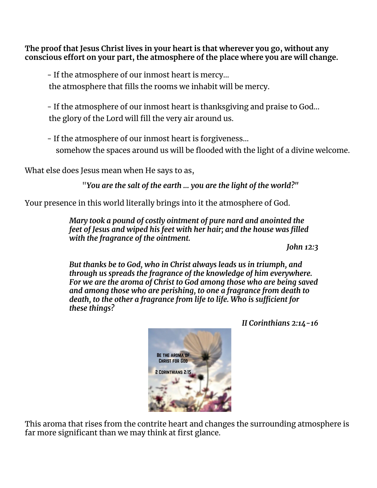**The proof that Jesus Christ lives in your heart is that wherever you go, without any conscious effort on your part, the atmosphere of the place where you are will change.**

- If the atmosphere of our inmost heart is mercy... the atmosphere that fills the rooms we inhabit will be mercy.

- If the atmosphere of our inmost heart is thanksgiving and praise to God... the glory of the Lord will fill the very air around us.

- If the atmosphere of our inmost heart is forgiveness... somehow the spaces around us will be flooded with the light of a divine welcome.

What else does Jesus mean when He says to as,

"*You are the salt of the earth ... you are the light of the world?"*

Your presence in this world literally brings into it the atmosphere of God.

*Mary took a pound of costly ointment of pure nard and anointed the feet of Jesus and wiped his feet with her hair; and the house was filled with the fragrance of the ointment.*

*John 12:3*

*But thanks be to God, who in Christ always leads us in triumph, and through us spreads the fragrance of the knowledge of him everywhere. For we are the aroma of Christ to God among those who are being saved and among those who are perishing, to one a fragrance from death to death, to the other a fragrance from life to life. Who is sufficient for these things?*

*II Corinthians 2:14-16*



This aroma that rises from the contrite heart and changes the surrounding atmosphere is far more significant than we may think at first glance.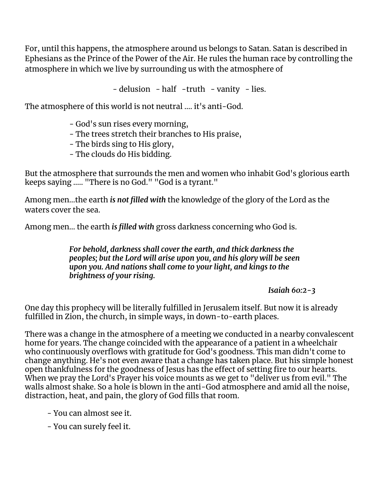For, until this happens, the atmosphere around us belongs to Satan. Satan is described in Ephesians as the Prince of the Power of the Air. He rules the human race by controlling the atmosphere in which we live by surrounding us with the atmosphere of

- delusion - half -truth - vanity - lies.

The atmosphere of this world is not neutral .... it's anti-God.

- God's sun rises every morning,

- The trees stretch their branches to His praise,
- The birds sing to His glory,
- The clouds do His bidding.

But the atmosphere that surrounds the men and women who inhabit God's glorious earth keeps saying ….. "There is no God." "God is a tyrant."

Among men…the earth *is not filled with* the knowledge of the glory of the Lord as the waters cover the sea.

Among men… the earth *is filled with* gross darkness concerning who God is.

*For behold, darkness shall cover the earth, and thick darkness the peoples; but the Lord will arise upon you, and his glory will be seen upon you. And nations shall come to your light, and kings to the brightness of your rising.*

*Isaiah 60:2-3*

One day this prophecy will be literally fulfilled in Jerusalem itself. But now it is already fulfilled in Zion, the church, in simple ways, in down-to-earth places.

There was a change in the atmosphere of a meeting we conducted in a nearby convalescent home for years. The change coincided with the appearance of a patient in a wheelchair who continuously overflows with gratitude for God's goodness. This man didn't come to change anything. He's not even aware that a change has taken place. But his simple honest open thankfulness for the goodness of Jesus has the effect of setting fire to our hearts. When we pray the Lord's Prayer his voice mounts as we get to "deliver us from evil." The walls almost shake. So a hole is blown in the anti-God atmosphere and amid all the noise, distraction, heat, and pain, the glory of God fills that room.

- You can almost see it.

- You can surely feel it.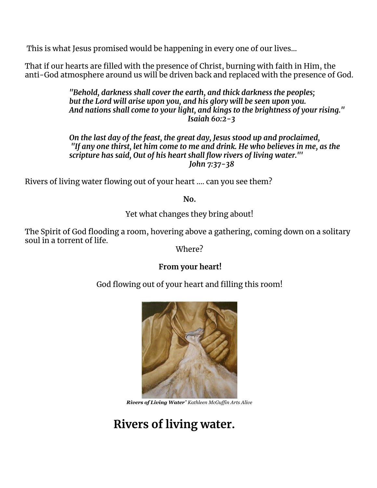This is what Jesus promised would be happening in every one of our lives...

That if our hearts are filled with the presence of Christ, burning with faith in Him, the anti-God atmosphere around us will be driven back and replaced with the presence of God.

> *"Behold, darkness shall cover the earth, and thick darkness the peoples; but the Lord will arise upon you, and his glory will be seen upon you. And nations shall come to your light, and kings to the brightness of your rising." Isaiah 60:2-3*

*On the last day of the feast, the great day, Jesus stood up and proclaimed, "If any one thirst, let him come to me and drink. He who believes in me, as the scripture has said, Out of his heart shall flow rivers of living water."' John 7:37-38*

Rivers of living water flowing out of your heart .... can you see them?

**No.**

Yet what changes they bring about!

The Spirit of God flooding a room, hovering above a gathering, coming down on a solitary soul in a torrent of life.

Where?

#### **From your heart!**

God flowing out of your heart and filling this room!



*Rivers of Living Water" Kathleen McGuf in Arts Alive*

# **Rivers of living water.**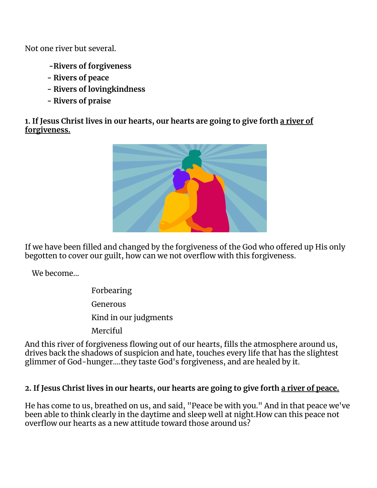Not one river but several.

- **-Rivers of forgiveness**
- **- Rivers of peace**
- **- Rivers of lovingkindness**
- **- Rivers of praise**

**1. If Jesus Christ lives in our hearts, our hearts are going to give forth a river of forgiveness.**



If we have been filled and changed by the forgiveness of the God who offered up His only begotten to cover our guilt, how can we not overflow with this forgiveness.

We become…

- Forbearing
- Generous
- Kind in our judgments
- Merciful

And this river of forgiveness flowing out of our hearts, fills the atmosphere around us, drives back the shadows of suspicion and hate, touches every life that has the slightest glimmer of God-hunger....they taste God's forgiveness, and are healed by it.

### 2. If Jesus Christ lives in our hearts, our hearts are going to give forth a river of peace.

He has come to us, breathed on us, and said, "Peace be with you." And in that peace we've been able to think clearly in the daytime and sleep well at night.How can this peace not overflow our hearts as a new attitude toward those around us?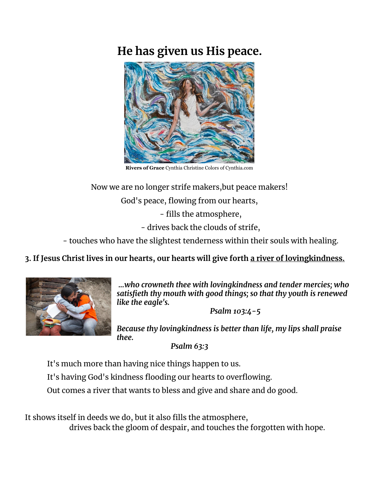## **He has given us His peace.**



**Rivers of Grace** Cynthia Christine Colors of Cynthia.com

Now we are no longer strife makers, but peace makers!

God's peace, flowing from our hearts,

- fills the atmosphere,

- drives back the clouds of strife,

- touches who have the slightest tenderness within their souls with healing.

**3. If Jesus Christ lives in our hearts, our hearts will give forth a river of lovingkindness.**



*...who crowneth thee with lovingkindness and tender mercies; who satisfieth thy mouth with good things; so that thy youth is renewed like the eagle's.*

*Psalm 103:4-5*

*Because thy lovingkindness is better than life, my lips shall praise thee.*

*Psalm 63:3*

It's much more than having nice things happen to us.

It's having God's kindness flooding our hearts to overflowing.

Out comes a river that wants to bless and give and share and do good.

It shows itself in deeds we do, but it also fills the atmosphere, drives back the gloom of despair, and touches the forgotten with hope.